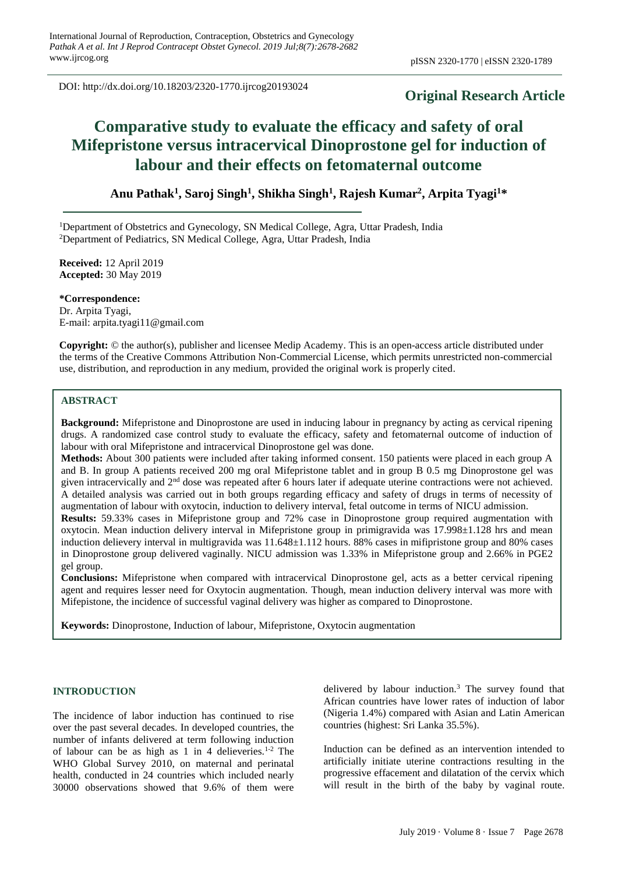DOI: http://dx.doi.org/10.18203/2320-1770.ijrcog20193024

## **Original Research Article**

# **Comparative study to evaluate the efficacy and safety of oral Mifepristone versus intracervical Dinoprostone gel for induction of labour and their effects on fetomaternal outcome**

**Anu Pathak<sup>1</sup> , Saroj Singh<sup>1</sup> , Shikha Singh<sup>1</sup> , Rajesh Kumar<sup>2</sup> , Arpita Tyagi<sup>1</sup>\***

<sup>1</sup>Department of Obstetrics and Gynecology, SN Medical College, Agra, Uttar Pradesh, India <sup>2</sup>Department of Pediatrics, SN Medical College, Agra, Uttar Pradesh, India

**Received:** 12 April 2019 **Accepted:** 30 May 2019

**\*Correspondence:** Dr. Arpita Tyagi, E-mail: arpita.tyagi11@gmail.com

**Copyright:** © the author(s), publisher and licensee Medip Academy. This is an open-access article distributed under the terms of the Creative Commons Attribution Non-Commercial License, which permits unrestricted non-commercial use, distribution, and reproduction in any medium, provided the original work is properly cited.

## **ABSTRACT**

**Background:** Mifepristone and Dinoprostone are used in inducing labour in pregnancy by acting as cervical ripening drugs. A randomized case control study to evaluate the efficacy, safety and fetomaternal outcome of induction of labour with oral Mifepristone and intracervical Dinoprostone gel was done.

**Methods:** About 300 patients were included after taking informed consent. 150 patients were placed in each group A and B. In group A patients received 200 mg oral Mifepristone tablet and in group B 0.5 mg Dinoprostone gel was given intracervically and 2nd dose was repeated after 6 hours later if adequate uterine contractions were not achieved. A detailed analysis was carried out in both groups regarding efficacy and safety of drugs in terms of necessity of augmentation of labour with oxytocin, induction to delivery interval, fetal outcome in terms of NICU admission.

**Results:** 59.33% cases in Mifepristone group and 72% case in Dinoprostone group required augmentation with oxytocin. Mean induction delivery interval in Mifepristone group in primigravida was 17.998±1.128 hrs and mean induction delievery interval in multigravida was 11.648±1.112 hours. 88% cases in mifipristone group and 80% cases in Dinoprostone group delivered vaginally. NICU admission was 1.33% in Mifepristone group and 2.66% in PGE2 gel group.

**Conclusions:** Mifepristone when compared with intracervical Dinoprostone gel, acts as a better cervical ripening agent and requires lesser need for Oxytocin augmentation. Though, mean induction delivery interval was more with Mifepistone, the incidence of successful vaginal delivery was higher as compared to Dinoprostone.

**Keywords:** Dinoprostone, Induction of labour, Mifepristone, Oxytocin augmentation

## **INTRODUCTION**

The incidence of labor induction has continued to rise over the past several decades. In developed countries, the number of infants delivered at term following induction of labour can be as high as 1 in 4 delieveries.<sup>1-2</sup> The WHO Global Survey 2010, on maternal and perinatal health, conducted in 24 countries which included nearly 30000 observations showed that 9.6% of them were

delivered by labour induction.<sup>3</sup> The survey found that African countries have lower rates of induction of labor (Nigeria 1.4%) compared with Asian and Latin American countries (highest: Sri Lanka 35.5%).

Induction can be defined as an intervention intended to artificially initiate uterine contractions resulting in the progressive effacement and dilatation of the cervix which will result in the birth of the baby by vaginal route.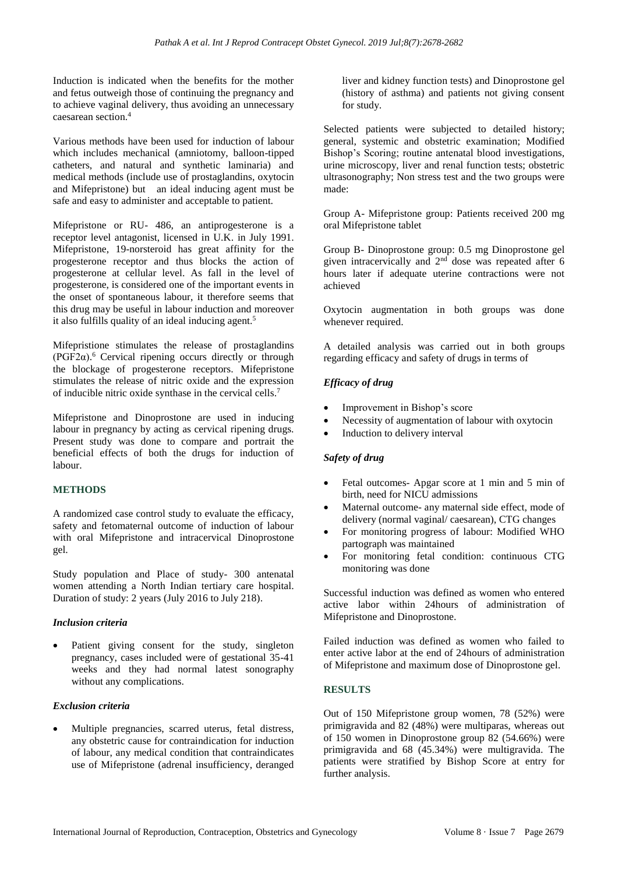Induction is indicated when the benefits for the mother and fetus outweigh those of continuing the pregnancy and to achieve vaginal delivery, thus avoiding an unnecessary caesarean section.<sup>4</sup>

Various methods have been used for induction of labour which includes mechanical (amniotomy, balloon-tipped catheters, and natural and synthetic laminaria) and medical methods (include use of prostaglandins, oxytocin and Mifepristone) but an ideal inducing agent must be safe and easy to administer and acceptable to patient.

Mifepristone or RU- 486, an antiprogesterone is a receptor level antagonist, licensed in U.K. in July 1991. Mifepristone, 19-norsteroid has great affinity for the progesterone receptor and thus blocks the action of progesterone at cellular level. As fall in the level of progesterone, is considered one of the important events in the onset of spontaneous labour, it therefore seems that this drug may be useful in labour induction and moreover it also fulfills quality of an ideal inducing agent.<sup>5</sup>

Mifepristione stimulates the release of prostaglandins (PGF2α). <sup>6</sup> Cervical ripening occurs directly or through the blockage of progesterone receptors. Mifepristone stimulates the release of nitric oxide and the expression of inducible nitric oxide synthase in the cervical cells.<sup>7</sup>

Mifepristone and Dinoprostone are used in inducing labour in pregnancy by acting as cervical ripening drugs. Present study was done to compare and portrait the beneficial effects of both the drugs for induction of labour.

## **METHODS**

A randomized case control study to evaluate the efficacy, safety and fetomaternal outcome of induction of labour with oral Mifepristone and intracervical Dinoprostone gel.

Study population and Place of study- 300 antenatal women attending a North Indian tertiary care hospital. Duration of study: 2 years (July 2016 to July 218).

#### *Inclusion criteria*

Patient giving consent for the study, singleton pregnancy, cases included were of gestational 35-41 weeks and they had normal latest sonography without any complications.

#### *Exclusion criteria*

Multiple pregnancies, scarred uterus, fetal distress, any obstetric cause for contraindication for induction of labour, any medical condition that contraindicates use of Mifepristone (adrenal insufficiency, deranged liver and kidney function tests) and Dinoprostone gel (history of asthma) and patients not giving consent for study.

Selected patients were subjected to detailed history; general, systemic and obstetric examination; Modified Bishop's Scoring; routine antenatal blood investigations, urine microscopy, liver and renal function tests; obstetric ultrasonography; Non stress test and the two groups were made:

Group A- Mifepristone group: Patients received 200 mg oral Mifepristone tablet

Group B- Dinoprostone group: 0.5 mg Dinoprostone gel given intracervically and 2nd dose was repeated after 6 hours later if adequate uterine contractions were not achieved

Oxytocin augmentation in both groups was done whenever required.

A detailed analysis was carried out in both groups regarding efficacy and safety of drugs in terms of

## *Efficacy of drug*

- Improvement in Bishop's score
- Necessity of augmentation of labour with oxytocin
- Induction to delivery interval

## *Safety of drug*

- Fetal outcomes- Apgar score at 1 min and 5 min of birth, need for NICU admissions
- Maternal outcome- any maternal side effect, mode of delivery (normal vaginal/ caesarean), CTG changes
- For monitoring progress of labour: Modified WHO partograph was maintained
- For monitoring fetal condition: continuous CTG monitoring was done

Successful induction was defined as women who entered active labor within 24hours of administration of Mifepristone and Dinoprostone.

Failed induction was defined as women who failed to enter active labor at the end of 24hours of administration of Mifepristone and maximum dose of Dinoprostone gel.

## **RESULTS**

Out of 150 Mifepristone group women, 78 (52%) were primigravida and 82 (48%) were multiparas, whereas out of 150 women in Dinoprostone group 82 (54.66%) were primigravida and 68 (45.34%) were multigravida. The patients were stratified by Bishop Score at entry for further analysis.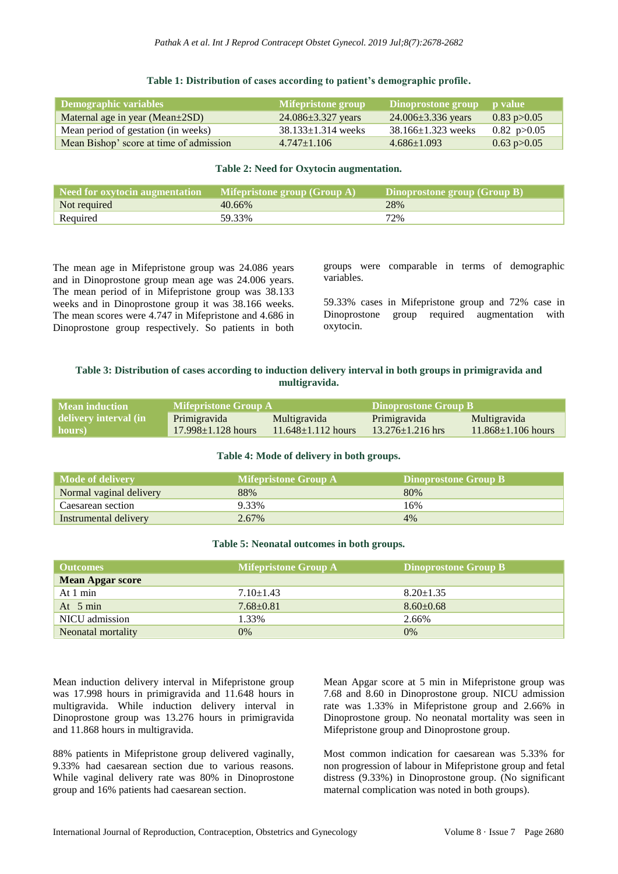| Demographic variables                   | Mifepristone group       | Dinoprostone group p value |                         |
|-----------------------------------------|--------------------------|----------------------------|-------------------------|
| Maternal age in year (Mean $\pm$ 2SD)   | $24.086 \pm 3.327$ years | $24.006 \pm 3.336$ years   | $0.83 \text{ p} > 0.05$ |
| Mean period of gestation (in weeks)     | $38.133 \pm 1.314$ weeks | $38.166 \pm 1.323$ weeks   | $0.82 \text{ p} > 0.05$ |
| Mean Bishop' score at time of admission | $4.747 \pm 1.106$        | $4.686 \pm 1.093$          | $0.63 \text{ p} > 0.05$ |

#### **Table 1: Distribution of cases according to patient's demographic profile.**

## **Table 2: Need for Oxytocin augmentation.**

| Need for oxytocin augmentation | $\blacksquare$ Mifepristone group (Group A) | Dinoprostone group (Group B) |
|--------------------------------|---------------------------------------------|------------------------------|
| Not required                   | 40.66%                                      | 28%                          |
| Required                       | 59.33%                                      | 72%                          |

The mean age in Mifepristone group was 24.086 years and in Dinoprostone group mean age was 24.006 years. The mean period of in Mifepristone group was 38.133 weeks and in Dinoprostone group it was 38.166 weeks. The mean scores were 4.747 in Mifepristone and 4.686 in Dinoprostone group respectively. So patients in both groups were comparable in terms of demographic variables.

59.33% cases in Mifepristone group and 72% case in Dinoprostone group required augmentation with oxytocin.

## **Table 3: Distribution of cases according to induction delivery interval in both groups in primigravida and multigravida.**

| Mean induction        | <b>Mifepristone Group A</b> |                          | Dinoprostone Group B   |                          |
|-----------------------|-----------------------------|--------------------------|------------------------|--------------------------|
| delivery interval (in | Primigravida                | <b>Multigravida</b>      | Primigravida           | <b>Multigravida</b>      |
| hours)                | $17.998 \pm 1.128$ hours    | $11.648 \pm 1.112$ hours | $13.276 \pm 1.216$ hrs | $11.868 \pm 1.106$ hours |

#### **Table 4: Mode of delivery in both groups.**

| Mode of delivery        | <b>Mifepristone Group A</b> | Dinoprostone Group B |
|-------------------------|-----------------------------|----------------------|
| Normal vaginal delivery | 88%                         | 80%                  |
| Caesarean section       | 9.33%                       | 16%                  |
| Instrumental delivery   | 2.67%                       | $4\%$                |

#### **Table 5: Neonatal outcomes in both groups.**

| <b>Outcomes</b>         | <b>Mifepristone Group A</b> | <b>Dinoprostone Group B</b> |
|-------------------------|-----------------------------|-----------------------------|
| <b>Mean Apgar score</b> |                             |                             |
| At $1 \text{ min}$      | $7.10 \pm 1.43$             | $8.20 \pm 1.35$             |
| At $5 \text{ min}$      | $7.68 \pm 0.81$             | $8.60 + 0.68$               |
| NICU admission          | 1.33%                       | 2.66%                       |
| Neonatal mortality      | 0%                          | $0\%$                       |

Mean induction delivery interval in Mifepristone group was 17.998 hours in primigravida and 11.648 hours in multigravida. While induction delivery interval in Dinoprostone group was 13.276 hours in primigravida and 11.868 hours in multigravida.

88% patients in Mifepristone group delivered vaginally, 9.33% had caesarean section due to various reasons. While vaginal delivery rate was 80% in Dinoprostone group and 16% patients had caesarean section.

Mean Apgar score at 5 min in Mifepristone group was 7.68 and 8.60 in Dinoprostone group. NICU admission rate was 1.33% in Mifepristone group and 2.66% in Dinoprostone group. No neonatal mortality was seen in Mifepristone group and Dinoprostone group.

Most common indication for caesarean was 5.33% for non progression of labour in Mifepristone group and fetal distress (9.33%) in Dinoprostone group. (No significant maternal complication was noted in both groups).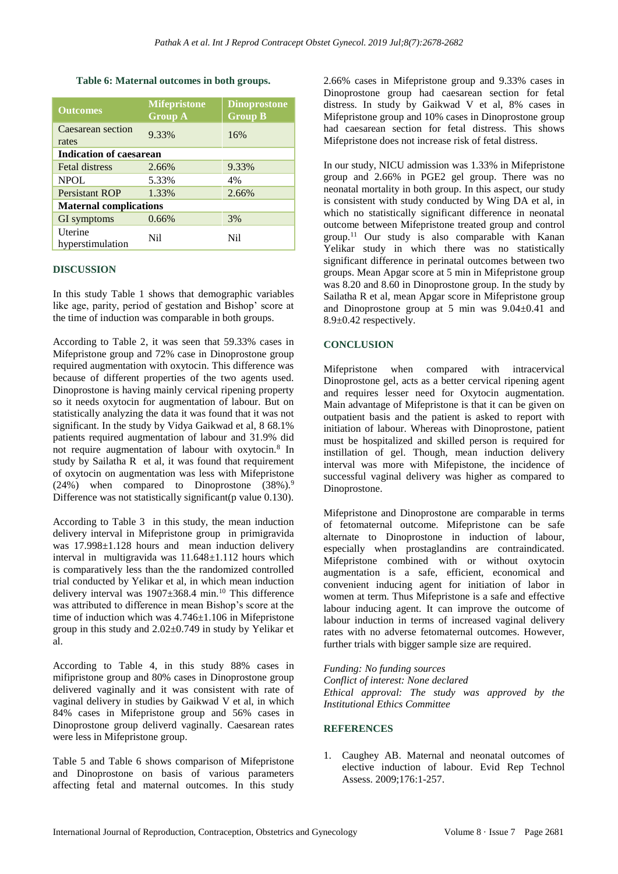#### **Table 6: Maternal outcomes in both groups.**

| <b>Outcomes</b>               | <b>Mifepristone</b> | <b>Dinoprostone</b> |  |
|-------------------------------|---------------------|---------------------|--|
|                               | <b>Group A</b>      | <b>Group B</b>      |  |
| Caesarean section             | 9.33%               |                     |  |
| rates                         |                     | 16%                 |  |
| Indication of caesarean       |                     |                     |  |
| <b>Fetal distress</b>         | 2.66%               | 9.33%               |  |
| <b>NPOL</b>                   | 5.33%               | 4%                  |  |
| Persistant ROP                | 1.33%               | 2.66%               |  |
| <b>Maternal complications</b> |                     |                     |  |
| GI symptoms                   | 0.66%               | 3%                  |  |
| Uterine<br>hyperstimulation   | Nil                 | Nil                 |  |

#### **DISCUSSION**

In this study Table 1 shows that demographic variables like age, parity, period of gestation and Bishop' score at the time of induction was comparable in both groups.

According to Table 2, it was seen that 59.33% cases in Mifepristone group and 72% case in Dinoprostone group required augmentation with oxytocin. This difference was because of different properties of the two agents used. Dinoprostone is having mainly cervical ripening property so it needs oxytocin for augmentation of labour. But on statistically analyzing the data it was found that it was not significant. In the study by Vidya Gaikwad et al, 8 68.1% patients required augmentation of labour and 31.9% did not require augmentation of labour with oxytocin.<sup>8</sup> In study by Sailatha R et al, it was found that requirement of oxytocin on augmentation was less with Mifepristone  $(24%)$  when compared to Dinoprostone  $(38%)$ .<sup>9</sup> Difference was not statistically significant(p value 0.130).

According to Table 3 in this study, the mean induction delivery interval in Mifepristone group in primigravida was 17.998 $\pm$ 1.128 hours and mean induction delivery interval in multigravida was 11.648±1.112 hours which is comparatively less than the the randomized controlled trial conducted by Yelikar et al, in which mean induction delivery interval was  $1907 \pm 368.4$  min.<sup>10</sup> This difference was attributed to difference in mean Bishop's score at the time of induction which was  $4.746 \pm 1.106$  in Mifepristone group in this study and 2.02±0.749 in study by Yelikar et al.

According to Table 4, in this study 88% cases in mifipristone group and 80% cases in Dinoprostone group delivered vaginally and it was consistent with rate of vaginal delivery in studies by Gaikwad V et al, in which 84% cases in Mifepristone group and 56% cases in Dinoprostone group deliverd vaginally. Caesarean rates were less in Mifepristone group.

Table 5 and Table 6 shows comparison of Mifepristone and Dinoprostone on basis of various parameters affecting fetal and maternal outcomes. In this study 2.66% cases in Mifepristone group and 9.33% cases in Dinoprostone group had caesarean section for fetal distress. In study by Gaikwad V et al, 8% cases in Mifepristone group and 10% cases in Dinoprostone group had caesarean section for fetal distress. This shows Mifepristone does not increase risk of fetal distress.

In our study, NICU admission was 1.33% in Mifepristone group and 2.66% in PGE2 gel group. There was no neonatal mortality in both group. In this aspect, our study is consistent with study conducted by Wing DA et al, in which no statistically significant difference in neonatal outcome between Mifepristone treated group and control group.<sup>11</sup> Our study is also comparable with Kanan Yelikar study in which there was no statistically significant difference in perinatal outcomes between two groups. Mean Apgar score at 5 min in Mifepristone group was 8.20 and 8.60 in Dinoprostone group. In the study by Sailatha R et al, mean Apgar score in Mifepristone group and Dinoprostone group at 5 min was 9.04±0.41 and 8.9±0.42 respectively.

## **CONCLUSION**

Mifepristone when compared with intracervical Dinoprostone gel, acts as a better cervical ripening agent and requires lesser need for Oxytocin augmentation. Main advantage of Mifepristone is that it can be given on outpatient basis and the patient is asked to report with initiation of labour. Whereas with Dinoprostone, patient must be hospitalized and skilled person is required for instillation of gel. Though, mean induction delivery interval was more with Mifepistone, the incidence of successful vaginal delivery was higher as compared to Dinoprostone.

Mifepristone and Dinoprostone are comparable in terms of fetomaternal outcome. Mifepristone can be safe alternate to Dinoprostone in induction of labour, especially when prostaglandins are contraindicated. Mifepristone combined with or without oxytocin augmentation is a safe, efficient, economical and convenient inducing agent for initiation of labor in women at term. Thus Mifepristone is a safe and effective labour inducing agent. It can improve the outcome of labour induction in terms of increased vaginal delivery rates with no adverse fetomaternal outcomes. However, further trials with bigger sample size are required.

*Funding: No funding sources*

*Conflict of interest: None declared Ethical approval: The study was approved by the Institutional Ethics Committee*

## **REFERENCES**

1. Caughey AB. Maternal and neonatal outcomes of elective induction of labour. Evid Rep Technol Assess. 2009;176:1-257.